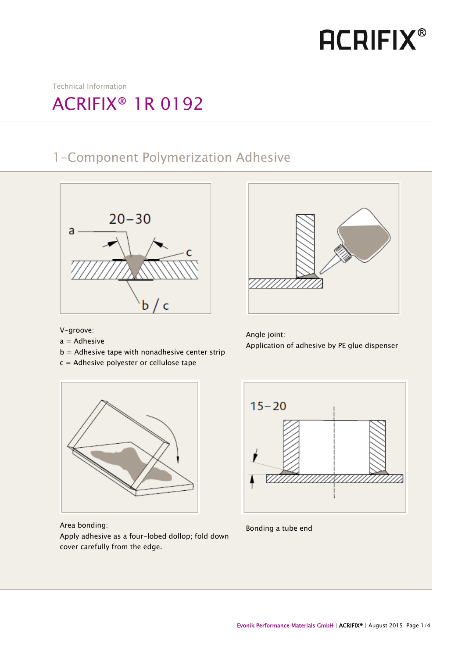# **ACRIFIX®**

Technical Information

## ACRIFIX® 1R 0192

### 1-Component Polymerization Adhesive





Application of adhesive by PE glue dispenser

V-groove:

 $\overline{1}$ I I I I I I I I

- $a =$  Adhesive
- $b =$  Adhesive tape with nonadhesive center strip
- c = Adhesive polyester or cellulose tape

ì  $15 - 20$ ֦

Area bonding:

Apply adhesive as a four-lobed dollop; fold down cover carefully from the edge.



Angle joint: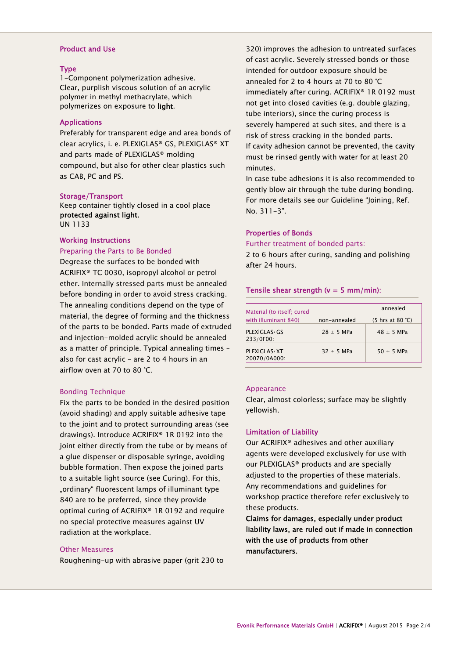#### Product and Use

#### Type

1-Component polymerization adhesive. Clear, purplish viscous solution of an acrylic polymer in methyl methacrylate, which polymerizes on exposure to light.

#### Applications

Preferably for transparent edge and area bonds of clear acrylics, i. e. PLEXIGLAS® GS, PLEXIGLAS® XT and parts made of PLEXIGLAS® molding compound, but also for other clear plastics such as CAB, PC and PS.

#### Storage/Transport

Keep container tightly closed in a cool place protected against light. UN 1133

#### Working Instructions

#### Preparing the Parts to Be Bonded

Degrease the surfaces to be bonded with ACRIFIX® TC 0030, isopropyl alcohol or petrol ether. Internally stressed parts must be annealed before bonding in order to avoid stress cracking. The annealing conditions depend on the type of material, the degree of forming and the thickness of the parts to be bonded. Parts made of extruded and injection-molded acrylic should be annealed as a matter of principle. Typical annealing times – also for cast acrylic – are 2 to 4 hours in an airflow oven at 70 to 80 °C.

#### Bonding Technique

Fix the parts to be bonded in the desired position (avoid shading) and apply suitable adhesive tape to the joint and to protect surrounding areas (see drawings). Introduce ACRIFIX® 1R 0192 into the joint either directly from the tube or by means of a glue dispenser or disposable syringe, avoiding bubble formation. Then expose the joined parts to a suitable light source (see Curing). For this, "ordinary" fluorescent lamps of illuminant type 840 are to be preferred, since they provide optimal curing of ACRIFIX® 1R 0192 and require no special protective measures against UV radiation at the workplace.

#### Other Measures

Roughening-up with abrasive paper (grit 230 to

320) improves the adhesion to untreated surfaces of cast acrylic. Severely stressed bonds or those intended for outdoor exposure should be annealed for 2 to 4 hours at 70 to 80 °C immediately after curing. ACRIFIX® 1R 0192 must not get into closed cavities (e.g. double glazing, tube interiors), since the curing process is severely hampered at such sites, and there is a risk of stress cracking in the bonded parts. If cavity adhesion cannot be prevented, the cavity must be rinsed gently with water for at least 20 minutes.

In case tube adhesions it is also recommended to gently blow air through the tube during bonding. For more details see our Guideline "Joining, Ref. No. 311-3".

#### Properties of Bonds

Further treatment of bonded parts:

2 to 6 hours after curing, sanding and polishing after 24 hours.

#### Tensile shear strength ( $v = 5$  mm/min):

| Material (to itself; cured          |              | annealed                                          |
|-------------------------------------|--------------|---------------------------------------------------|
| with illuminant 840)                | non-annealed | $(5 \text{ hrs at } 80 \text{ }^{\circ}\text{C})$ |
| PLEXIGLAS GS<br>233/0F00:           | $28 + 5$ MPa | $48 + 5$ MPa                                      |
| <b>PLEXIGLAS</b> XT<br>20070/0A000: | $32 + 5$ MPa | $50 + 5$ MPa                                      |

#### Appearance

Clear, almost colorless; surface may be slightly yellowish.

#### Limitation of Liability

Our ACRIFIX® adhesives and other auxiliary agents were developed exclusively for use with our PLEXIGLAS® products and are specially adjusted to the properties of these materials. Any recommendations and guidelines for workshop practice therefore refer exclusively to these products.

Claims for damages, especially under product liability laws, are ruled out if made in connection with the use of products from other manufacturers.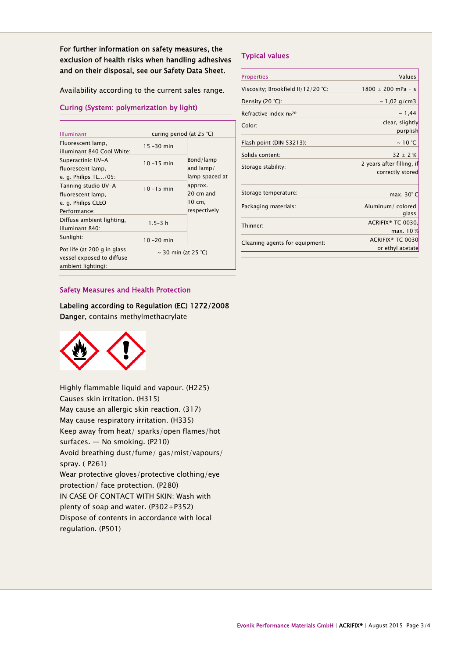For further information on safety measures, the exclusion of health risks when handling adhesives and on their disposal, see our Safety Data Sheet.

Availability according to the current sales range.

#### Curing (System: polymerization by light)

| <b>Illuminant</b>                                                              | curing period (at $25 °C$ ) |                                                          |
|--------------------------------------------------------------------------------|-----------------------------|----------------------------------------------------------|
| Fluorescent lamp,<br>illuminant 840 Cool White:                                | $15 - 30$ min               |                                                          |
| Superactinic UV-A<br>fluorescent lamp,                                         | $10 - 15$ min               | Bond/lamp<br>and $lamp/$                                 |
| e. g. Philips $TL/05$ :                                                        |                             | lamp spaced at                                           |
| Tanning studio UV-A<br>fluorescent lamp,<br>e. g. Philips CLEO<br>Performance: | $10 - 15$ min               | approx.<br>$20 \text{ cm}$ and<br>10 cm,<br>respectively |
| Diffuse ambient lighting,<br>illuminant 840:                                   | $1.5 - 3 h$                 |                                                          |
| Sunlight:                                                                      | $10 - 20$ min               |                                                          |
| Pot life (at 200 g in glass<br>vessel exposed to diffuse<br>ambient lighting): | $\sim$ 30 min (at 25 °C)    |                                                          |

#### Typical values

| <b>Properties</b>                   | <b>Values</b>                                 |
|-------------------------------------|-----------------------------------------------|
| Viscosity; Brookfield II/12/20 °C:  | $1800 \pm 200$ mPa · s                        |
| Density (20 °C):                    | $\sim$ 1,02 g/cm3                             |
| Refractive index n <sub>p</sub> 20: | ~1,44                                         |
| Color:                              | clear, slightly<br>purplish                   |
| Flash point (DIN 53213):            | $\sim$ 10 °C                                  |
| Solids content:                     | $32 \pm 2%$                                   |
| Storage stability:                  | 2 years after filling, if<br>correctly stored |
| Storage temperature:                | max. 30° C                                    |
| Packaging materials:                | Aluminum/colored<br>glass                     |
| Thinner:                            | ACRIFIX <sup>®</sup> TC 0030,                 |
| Cleaning agents for equipment:      | max. 10 %<br>ACRIFIX <sup>®</sup> TC 0030     |
|                                     | or ethyl acetate                              |

#### Safety Measures and Health Protection

Labeling according to Regulation (EC) 1272/2008 Danger, contains methylmethacrylate



Highly flammable liquid and vapour. (H225) Causes skin irritation. (H315) May cause an allergic skin reaction. (317) May cause respiratory irritation. (H335) Keep away from heat/ sparks/open flames/hot surfaces. — No smoking. (P210) Avoid breathing dust/fume/ gas/mist/vapours/ spray. ( P261) Wear protective gloves/protective clothing/eye protection/ face protection. (P280) IN CASE OF CONTACT WITH SKIN: Wash with plenty of soap and water. (P302+P352) Dispose of contents in accordance with local regulation. (P501)